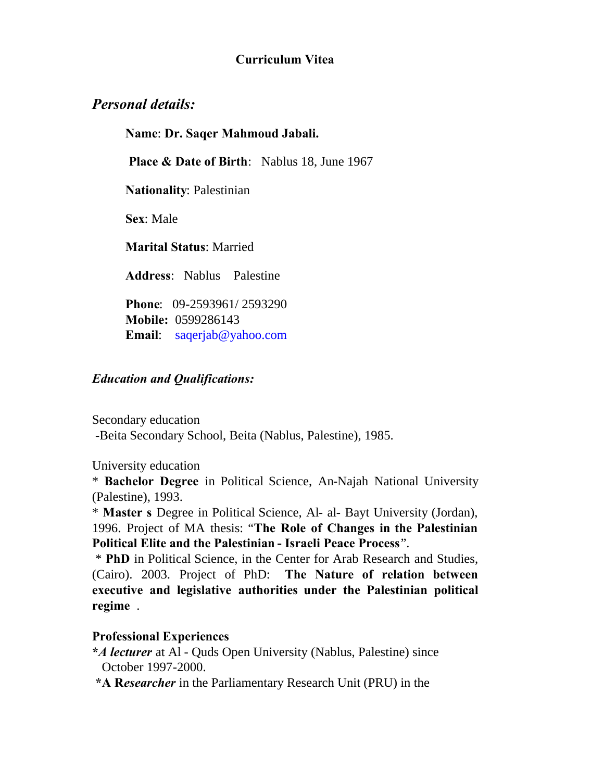#### Curriculum Vitea

# Personal details:

Name: Dr. Saqer Mahmoud Jabali.

Place & Date of Birth: Nablus 18, June 1967

Nationality: Palestinian

Sex: Male

Marital Status: Married

Address: Nablus Palestine

Phone: 09-2593961/ 2593290 Mobile: 0599286143 Email: saqerjab@yahoo.com

## Education and Qualifications:

Secondary education -Beita Secondary School, Beita (Nablus, Palestine), 1985.

University education

\* Bachelor Degree in Political Science, An-Najah National University (Palestine), 1993.

\* Master's Degree in Political Science, Al- al- Bayt University (Jordan), 1996. Project of MA thesis: "The Role of Changes in the Palestinian Political Elite and the Palestinian - Israeli Peace Process".

Curriculum Vitea<br>
Personal details:<br>
Name: Dr. Saqer Mahmoud Jabali.<br>
Place & Date of Birth: Nahlus 18, June 1967<br>
Nationality: Palestinian<br>
Sex: Mule<br>
Marital Status: Murried<br>
Address: Nablus Palestine<br>
Phone: 09-2593961/ \* PhD in Political Science, in the Center for Arab Research and Studies, (Cairo). 2003. Project of PhD: The Nature of relation between executive and legislative authorities under the Palestinian political regime .

# Professional Experiences

\*A lecturer at Al - Quds Open University (Nablus, Palestine) since October 1997-2000.

\*A Researcher in the Parliamentary Research Unit (PRU) in the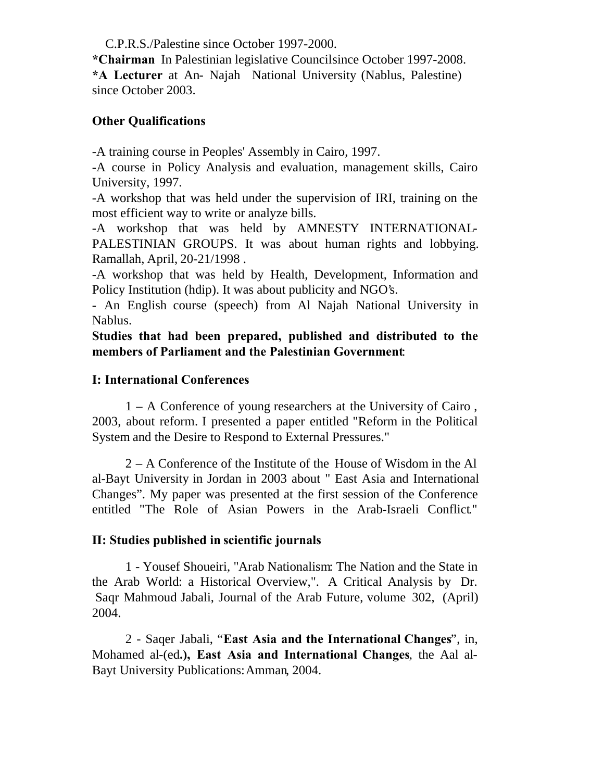\*Chairman In Palestinian legislative Council since October 1997-2008. \*A Lecturer at An- Najah National University (Nablus, Palestine) since October 2003.

#### Other Qualifications

-A training course in Peoples' Assembly in Cairo, 1997.

-A course in Policy Analysis and evaluation, management skills, Cairo University, 1997.

-A workshop that was held under the supervision of IRI, training on the most efficient way to write or analyze bills.

-A workshop that was held by AMNESTY INTERNATIONAL-PALESTINIAN GROUPS. It was about human rights and lobbying. Ramallah, April, 20-21/1998 .

-A workshop that was held by Health, Development, Information and Policy Institution (hdip). It was about publicity and NGO's.

- An English course (speech) from Al Najah National University in Nablus.

#### Studies that had been prepared, published and distributed to the members of Parliament and the Palestinian Government:

#### I: International Conferences

1 – A Conference of young researchers at the University of Cairo , 2003, about reform. I presented a paper entitled "Reform in the Political System and the Desire to Respond to External Pressures."

C.P.R.S./Palestine since October 1997-2000.<br>
"Chariman In Palestinian legislative Councilisine October 1997-2008.<br>
"A Lecturer at An-Najah National University (Nablus, Palestine)<br>
Since October 2003.<br>
Other Qualifications<br> 2 – A Conference of the Institute of the House of Wisdom in the Al al-Bayt University in Jordan in 2003 about " East Asia and International Changes". My paper was presented at the first session of the Conference entitled "The Role of Asian Powers in the Arab-Israeli Conflict."

## II: Studies published in scientific journals

1 - Yousef Shoueiri, "Arab Nationalism: The Nation and the State in the Arab World: a Historical Overview,". A Critical Analysis by Dr. Saqr Mahmoud Jabali, Journal of the Arab Future, volume 302, (April) 2004.

2 - Saqer Jabali, "East Asia and the International Changes", in, Mohamed al-(ed.), East Asia and International Changes, the Aal al-Bayt University Publications:Amman, 2004.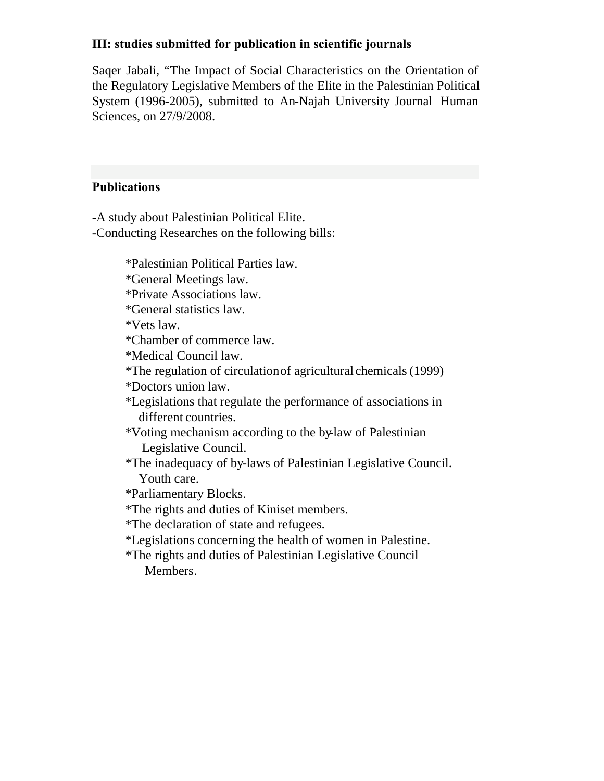Saqer Jabali, "The Impact of Social Characteristics on the Orientation of the Regulatory Legislative Members of the Elite in the Palestinian Political System (1996-2005), submitted to An-Najah University Journal Human Sciences, on 27/9/2008.

#### **Publications**

-A study about Palestinian Political Elite.

-Conducting Researches on the following bills:

III: studies submitted for publication in scientific journals<br>
Sugn: Jabin.' The Impact of Social Characteristics on the Orientation of<br>
the Regulatory Legislative Members of the Elite in the Palestinian Politica<br>
System \*Palestinian Political Parties law. \*General Meetings law. \*Private Associations law. \*General statistics law. \*Vets law. \*Chamber of commerce law. \*Medical Council law. \*The regulation of circulation of agricultural chemicals (1999) \*Doctors union law. \*Legislations that regulate the performance of associations in different countries. \*Voting mechanism according to the by-law of Palestinian Legislative Council. \*The inadequacy of by-laws of Palestinian Legislative Council. Youth care. \*Parliamentary Blocks. \*The rights and duties of Kiniset members. \*The declaration of state and refugees. \*Legislations concerning the health of women in Palestine. \*The rights and duties of Palestinian Legislative Council

Members.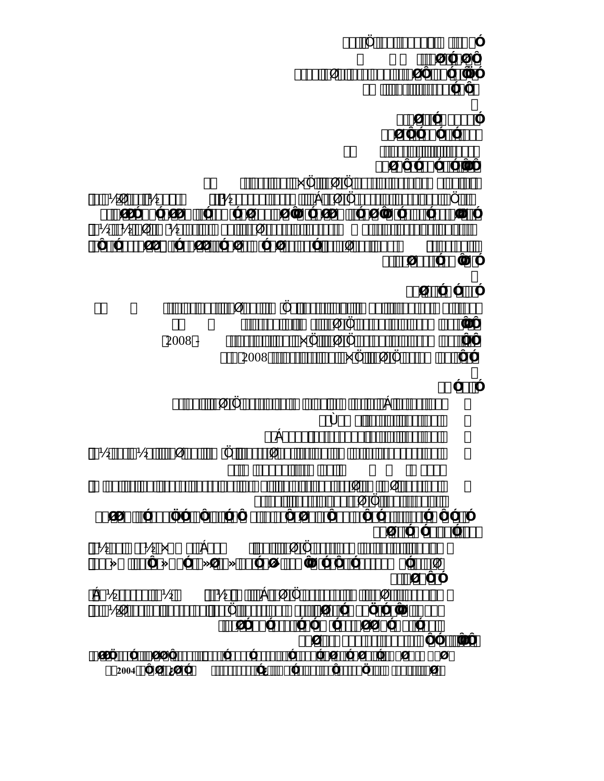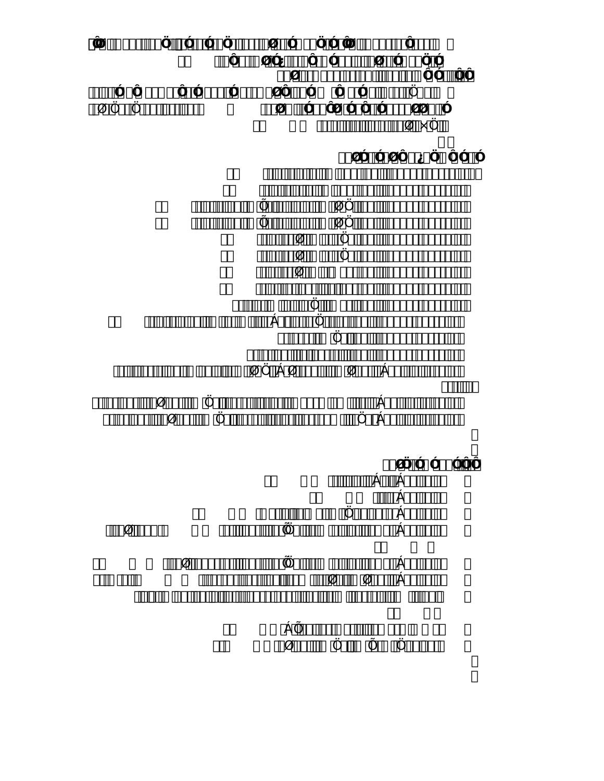